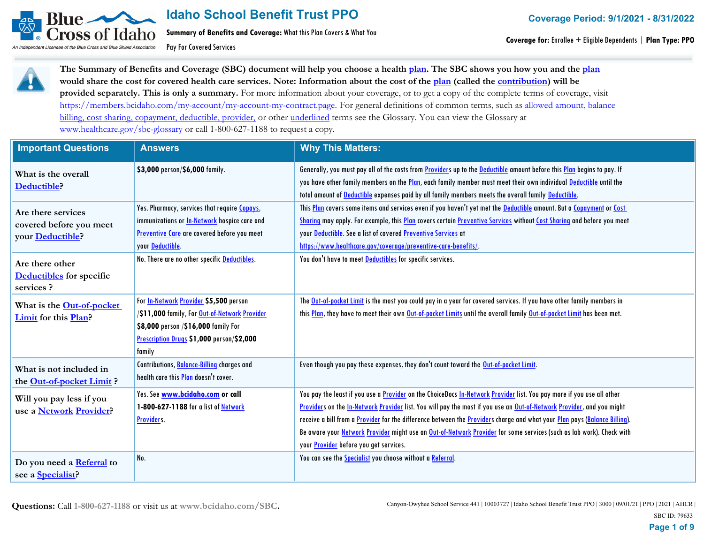

**Summary of Benefits and Coverage:** What this Plan Covers & What You

Pay For Covered Services



**The Summary of Benefits and Coverage (SBC) document will help you choose a health plan. The SBC shows you how you and the plan would share the cost for covered health care services. Note: Information about the cost of the plan (called the contribution) will be provided separately. This is only a summary.** For more information about your coverage, or to get a copy of the complete terms of coverage, visit https://members.bcidaho.com/my-account/my-account-my-contract.page. For general definitions of common terms, such as allowed amount, balance billing, cost sharing, copayment, deductible, provider, or other underlined terms see the Glossary. You can view the Glossary at www.healthcare.gov/sbc-glossary or call 1-800-627-1188 to request a copy.

| <b>Important Questions</b>                                        | <b>Answers</b>                                                                                                                                                                               | <b>Why This Matters:</b>                                                                                                                                                                                                                                                                                                                                                                                                                                                                                                                                    |
|-------------------------------------------------------------------|----------------------------------------------------------------------------------------------------------------------------------------------------------------------------------------------|-------------------------------------------------------------------------------------------------------------------------------------------------------------------------------------------------------------------------------------------------------------------------------------------------------------------------------------------------------------------------------------------------------------------------------------------------------------------------------------------------------------------------------------------------------------|
| What is the overall<br>Deductible?                                | \$3,000 person/\$6,000 family.                                                                                                                                                               | Generally, you must pay all of the costs from <b>Provider</b> s up to the Deductible amount before this Plan begins to pay. If<br>you have other family members on the Plan, each family member must meet their own individual Deductible until the<br>total amount of Deductible expenses paid by all family members meets the overall family Deductible.                                                                                                                                                                                                  |
| Are there services<br>covered before you meet<br>your Deductible? | Yes. Pharmacy, services that require Copays,<br>immunizations or <b>In-Network</b> hospice care and<br>Preventive Care are covered before you meet<br>your Deductible.                       | This Plan covers some items and services even if you haven't yet met the Deductible amount. But a Copayment or Cost<br>Sharing may apply. For example, this Plan covers certain Preventive Services without Cost Sharing and before you meet<br>your Deductible. See a list of covered Preventive Services at<br>https://www.healthcare.gov/coverage/preventive-care-benefits/.                                                                                                                                                                             |
| Are there other<br><b>Deductibles</b> for specific<br>services?   | No. There are no other specific Deductibles.                                                                                                                                                 | You don't have to meet <b>Deductibles</b> for specific services.                                                                                                                                                                                                                                                                                                                                                                                                                                                                                            |
| What is the Out-of-pocket<br>Limit for this Plan?                 | For <b>In-Network Provider \$5,500</b> person<br>/\$11,000 family, For Out-of-Network Provider<br>\$8,000 person /\$16,000 family For<br>Prescription Drugs \$1,000 person/\$2,000<br>family | The Out-of-pocket Limit is the most you could pay in a year for covered services. If you have other family members in<br>this Plan, they have to meet their own Out-of-pocket Limits until the overall family Out-of-pocket Limit has been met.                                                                                                                                                                                                                                                                                                             |
| What is not included in<br>the Out-of-pocket Limit?               | Contributions, Balance-Billing charges and<br>health care this Plan doesn't cover.                                                                                                           | Even though you pay these expenses, they don't count toward the Out-of-pocket Limit.                                                                                                                                                                                                                                                                                                                                                                                                                                                                        |
| Will you pay less if you<br>use a Network Provider?               | Yes. See www.bcidaho.com or call<br>1-800-627-1188 for a list of Network<br>Providers.                                                                                                       | You pay the least if you use a <b>Provider</b> on the ChoiceDocs In-Network Provider list. You pay more if you use all other<br>Providers on the In-Network Provider list. You will pay the most if you use an Out-of-Network Provider, and you might<br>receive a bill from a Provider for the difference between the Providers charge and what your Plan pays (Balance Billing).<br>Be aware your Network Provider might use an Out-of-Network Provider for some services (such as lab work). Check with<br>your <b>Provider</b> before you get services. |
| Do you need a Referral to<br>see a <b>Specialist</b> ?            | No.                                                                                                                                                                                          | You can see the <b>Specialist</b> you choose without a Referral.                                                                                                                                                                                                                                                                                                                                                                                                                                                                                            |

**Questions:** Call **1-800-627-1188** or visit us at **www.bcidaho.com/SBC.**

Canyon-Owyhee School Service 441 | 10003727 | Idaho School Benefit Trust PPO | 3000 | 09/01/21 | PPO | 2021 | AHCR |

SBC ID: 79633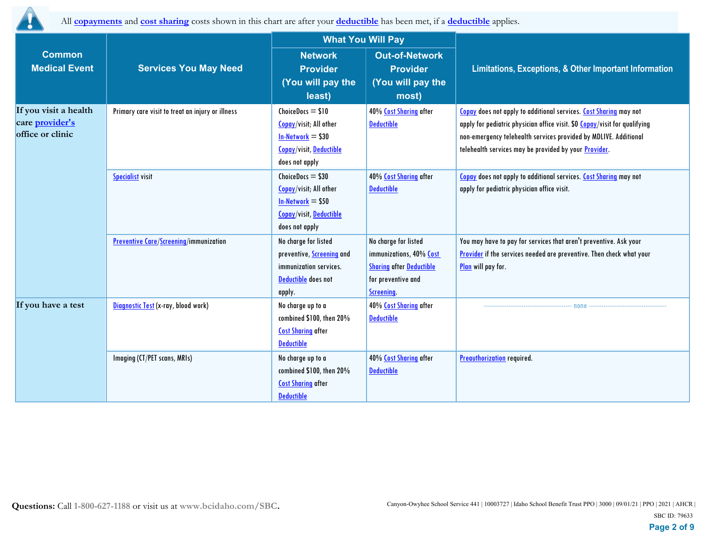

All **copayments** and **cost sharing** costs shown in this chart are after your **deductible** has been met, if a **deductible** applies.

|                                                              |                                                  | <b>What You Will Pay</b>                                                                                                   |                                                                                                                        |                                                                                                                                                                                                                                                                                      |
|--------------------------------------------------------------|--------------------------------------------------|----------------------------------------------------------------------------------------------------------------------------|------------------------------------------------------------------------------------------------------------------------|--------------------------------------------------------------------------------------------------------------------------------------------------------------------------------------------------------------------------------------------------------------------------------------|
| <b>Common</b><br><b>Medical Event</b>                        | <b>Services You May Need</b>                     | <b>Network</b><br><b>Provider</b><br>(You will pay the<br>least)                                                           | <b>Out-of-Network</b><br><b>Provider</b><br>(You will pay the<br>most)                                                 | Limitations, Exceptions, & Other Important Information                                                                                                                                                                                                                               |
| If you visit a health<br>care provider's<br>office or clinic | Primary care visit to treat an injury or illness | $ChoiceDoes = $10$<br><b>Copay/visit; All other</b><br>$In-Network = $30$<br>Copay/visit, Deductible<br>does not apply     | 40% Cost Sharing after<br><b>Deductible</b>                                                                            | Copay does not apply to additional services. Cost Sharing may not<br>apply for pediatric physician office visit. \$0 Copay/visit for qualifying<br>non-emergency telehealth services provided by MDLIVE. Additional<br>telehealth services may be provided by your <b>Provider</b> . |
|                                                              | <b>Specialist visit</b>                          | $ChoiceDoes = $30$<br>Copay/visit; All other<br>$In-Network = $50$<br><b>Copay/visit, Deductible</b><br>does not apply     | 40% Cost Sharing after<br><b>Deductible</b>                                                                            | Copay does not apply to additional services. Cost Sharing may not<br>apply for pediatric physician office visit.                                                                                                                                                                     |
|                                                              | <b>Preventive Care/Screening/immunization</b>    | No charge for listed<br>preventive, <b>Screening</b> and<br>immunization services.<br><b>Deductible</b> does not<br>apply. | No charge for listed<br>immunizations, 40% Cost<br><b>Sharing after Deductible</b><br>for preventive and<br>Screening. | You may have to pay for services that aren't preventive. Ask your<br>Provider if the services needed are preventive. Then check what your<br>Plan will pay for.                                                                                                                      |
| If you have a test                                           | Diagnostic Test (x-ray, blood work)              | No charge up to a<br>combined \$100, then 20%<br><b>Cost Sharing after</b><br><b>Deductible</b>                            | 40% Cost Sharing after<br><b>Deductible</b>                                                                            | none                                                                                                                                                                                                                                                                                 |
|                                                              | Imaging (CT/PET scans, MRIs)                     | No charge up to a<br>combined \$100, then 20%<br><b>Cost Sharing</b> after<br><b>Deductible</b>                            | 40% Cost Sharing after<br><b>Deductible</b>                                                                            | <b>Preauthorization</b> required.                                                                                                                                                                                                                                                    |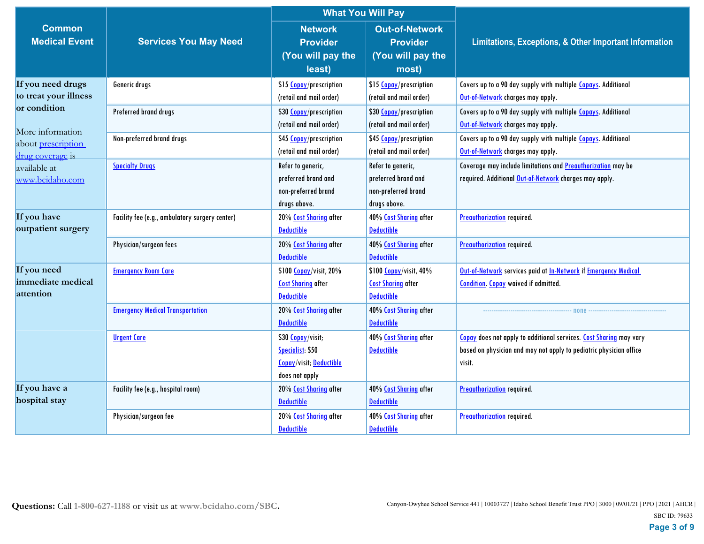|                           |                                                | <b>What You Will Pay</b>       |                           |                                                                           |  |
|---------------------------|------------------------------------------------|--------------------------------|---------------------------|---------------------------------------------------------------------------|--|
| <b>Common</b>             |                                                | <b>Network</b>                 | <b>Out-of-Network</b>     |                                                                           |  |
| <b>Medical Event</b>      | <b>Services You May Need</b>                   | <b>Provider</b>                | <b>Provider</b>           | Limitations, Exceptions, & Other Important Information                    |  |
|                           |                                                | (You will pay the              | (You will pay the         |                                                                           |  |
|                           |                                                | least)                         | most)                     |                                                                           |  |
| If you need drugs         | Generic drugs                                  | \$15 Copay/prescription        | \$15 Copay/prescription   | Covers up to a 90 day supply with multiple Copays. Additional             |  |
| to treat your illness     |                                                | (retail and mail order)        | (retail and mail order)   | Out-of-Network charges may apply.                                         |  |
| or condition              | Preferred brand drugs                          | \$30 Copay/prescription        | \$30 Copay/prescription   | Covers up to a 90 day supply with multiple Copays. Additional             |  |
| More information          |                                                | (retail and mail order)        | (retail and mail order)   | Out-of-Network charges may apply.                                         |  |
| about <i>prescription</i> | Non-preferred brand drugs                      | \$45 Copay/prescription        | \$45 Copay/prescription   | Covers up to a 90 day supply with multiple Copays. Additional             |  |
| drug coverage is          |                                                | (retail and mail order)        | (retail and mail order)   | Out-of-Network charges may apply.                                         |  |
| available at              | <b>Specialty Drugs</b>                         | Refer to generic,              | Refer to generic,         | Coverage may include limitations and <b>Preauthorization</b> may be       |  |
| www.bcidaho.com           |                                                | preferred brand and            | preferred brand and       | required. Additional Out-of-Network charges may apply.                    |  |
|                           |                                                | non-preferred brand            | non-preferred brand       |                                                                           |  |
|                           |                                                | drugs above.                   | drugs above.              |                                                                           |  |
| If you have               | Facility fee (e.g., ambulatory surgery center) | 20% Cost Sharing after         | 40% Cost Sharing after    | <b>Preauthorization</b> required.                                         |  |
| outpatient surgery        |                                                | <b>Deductible</b>              | <b>Deductible</b>         |                                                                           |  |
|                           | Physician/surgeon fees                         | 20% Cost Sharing after         | 40% Cost Sharing after    | <b>Preauthorization</b> required.                                         |  |
|                           |                                                | <b>Deductible</b>              | <b>Deductible</b>         |                                                                           |  |
| If you need               | <b>Emergency Room Care</b>                     | \$100 Copay/visit, 20%         | \$100 Copay/visit, 40%    | Out-of-Network services paid at In-Network if Emergency Medical           |  |
| immediate medical         |                                                | <b>Cost Sharing after</b>      | <b>Cost Sharing after</b> | <b>Condition.</b> Copay waived if admitted.                               |  |
| attention                 |                                                | <b>Deductible</b>              | <b>Deductible</b>         |                                                                           |  |
|                           | <b>Emergency Medical Transportation</b>        | 20% Cost Sharing after         | 40% Cost Sharing after    | none                                                                      |  |
|                           |                                                | <b>Deductible</b>              | <b>Deductible</b>         |                                                                           |  |
|                           | <b>Urgent Care</b>                             | \$30 Copay/visit;              | 40% Cost Sharing after    | <b>Copay</b> does not apply to additional services. Cost Sharing may vary |  |
|                           |                                                | Specialist: \$50               | <b>Deductible</b>         | based on physician and may not apply to pediatric physician office        |  |
|                           |                                                | <b>Copay/visit; Deductible</b> |                           | visit.                                                                    |  |
|                           |                                                | does not apply                 |                           |                                                                           |  |
| If you have a             | Facility fee (e.g., hospital room)             | 20% Cost Sharing after         | 40% Cost Sharing after    | <b>Preauthorization</b> required.                                         |  |
| hospital stay             |                                                | <b>Deductible</b>              | <b>Deductible</b>         |                                                                           |  |
|                           | Physician/surgeon fee                          | 20% Cost Sharing after         | 40% Cost Sharing after    | <b>Preauthorization</b> required.                                         |  |
|                           |                                                | <b>Deductible</b>              | <b>Deductible</b>         |                                                                           |  |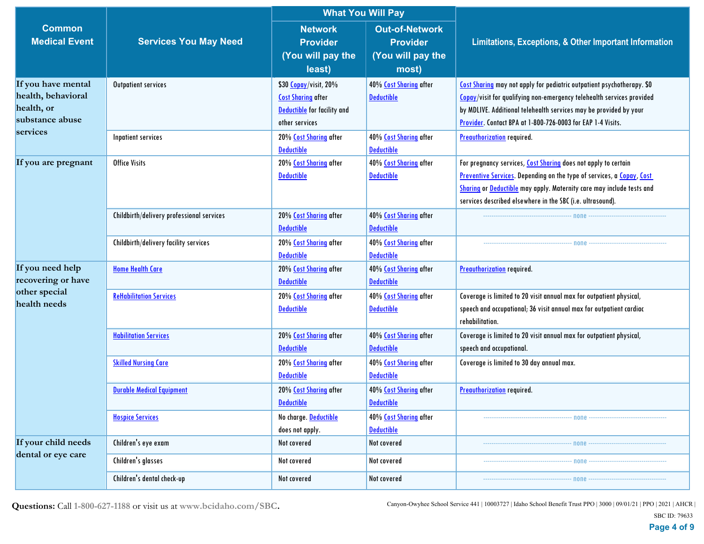|                                                                                       |                                           |                                                                                                            | <b>What You Will Pay</b>                                               |                                                                                                                                                                                                                                                                                       |
|---------------------------------------------------------------------------------------|-------------------------------------------|------------------------------------------------------------------------------------------------------------|------------------------------------------------------------------------|---------------------------------------------------------------------------------------------------------------------------------------------------------------------------------------------------------------------------------------------------------------------------------------|
| <b>Common</b><br><b>Medical Event</b>                                                 | <b>Services You May Need</b>              | <b>Network</b><br><b>Provider</b><br>(You will pay the<br>least)                                           | <b>Out-of-Network</b><br><b>Provider</b><br>(You will pay the<br>most) | Limitations, Exceptions, & Other Important Information                                                                                                                                                                                                                                |
| If you have mental<br>health, behavioral<br>health, or<br>substance abuse<br>services | Outpatient services                       | \$30 Copay/visit, 20%<br><b>Cost Sharing</b> after<br><b>Deductible</b> for facility and<br>other services | 40% Cost Sharing after<br><b>Deductible</b>                            | Cost Sharing may not apply for pediatric outpatient psychotherapy. \$0<br>Copay/visit for qualifying non-emergency telehealth services provided<br>by MDLIVE. Additional telehealth services may be provided by your<br>Provider. Contact BPA at 1-800-726-0003 for EAP 1-4 Visits.   |
|                                                                                       | Inpatient services                        | 20% Cost Sharing after<br><b>Deductible</b>                                                                | 40% Cost Sharing after<br><b>Deductible</b>                            | <b>Preauthorization</b> required.                                                                                                                                                                                                                                                     |
| If you are pregnant                                                                   | <b>Office Visits</b>                      | 20% Cost Sharing after<br><b>Deductible</b>                                                                | 40% Cost Sharing after<br><b>Deductible</b>                            | For pregnancy services, Cost Sharing does not apply to certain<br>Preventive Services. Depending on the type of services, a Copay, Cost<br><b>Sharing or Deductible</b> may apply. Maternity care may include tests and<br>services described elsewhere in the SBC (i.e. ultrasound). |
|                                                                                       | Childbirth/delivery professional services | 20% Cost Sharing after<br><b>Deductible</b>                                                                | 40% Cost Sharing after<br><b>Deductible</b>                            |                                                                                                                                                                                                                                                                                       |
|                                                                                       | Childbirth/delivery facility services     | 20% Cost Sharing after<br><b>Deductible</b>                                                                | 40% Cost Sharing after<br><b>Deductible</b>                            |                                                                                                                                                                                                                                                                                       |
| If you need help<br>recovering or have                                                | <b>Home Health Care</b>                   | 20% Cost Sharing after<br><b>Deductible</b>                                                                | 40% Cost Sharing after<br><b>Deductible</b>                            | <b>Preauthorization</b> required.                                                                                                                                                                                                                                                     |
| other special<br>health needs                                                         | <b>ReHabilitation Services</b>            | 20% Cost Sharing after<br><b>Deductible</b>                                                                | 40% Cost Sharing after<br><b>Deductible</b>                            | Coverage is limited to 20 visit annual max for outpatient physical,<br>speech and occupational; 36 visit annual max for outpatient cardiac<br>rehabilitation.                                                                                                                         |
|                                                                                       | <b>Habilitation Services</b>              | 20% Cost Sharing after<br><b>Deductible</b>                                                                | 40% Cost Sharing after<br><b>Deductible</b>                            | Coverage is limited to 20 visit annual max for outpatient physical,<br>speech and occupational.                                                                                                                                                                                       |
|                                                                                       | <b>Skilled Nursing Care</b>               | 20% Cost Sharing after<br><b>Deductible</b>                                                                | 40% Cost Sharing after<br><b>Deductible</b>                            | Coverage is limited to 30 day annual max.                                                                                                                                                                                                                                             |
|                                                                                       | <b>Durable Medical Equipment</b>          | 20% Cost Sharing after<br><b>Deductible</b>                                                                | 40% Cost Sharing after<br><b>Deductible</b>                            | <b>Preauthorization</b> required.                                                                                                                                                                                                                                                     |
|                                                                                       | <b>Hospice Services</b>                   | No charge. Deductible<br>does not apply.                                                                   | 40% Cost Sharing after<br><b>Deductible</b>                            |                                                                                                                                                                                                                                                                                       |
| If your child needs                                                                   | Children's eye exam                       | Not covered                                                                                                | Not covered                                                            | $-$ none $-$                                                                                                                                                                                                                                                                          |
| dental or eye care                                                                    | Children's glasses                        | Not covered                                                                                                | Not covered                                                            | попе                                                                                                                                                                                                                                                                                  |
|                                                                                       | Children's dental check-up                | Not covered                                                                                                | Not covered                                                            | ----------- none ------------                                                                                                                                                                                                                                                         |

**Questions:** Call **1-800-627-1188** or visit us at **www.bcidaho.com/SBC.**

Canyon-Owyhee School Service 441 | 10003727 | Idaho School Benefit Trust PPO | 3000 | 09/01/21 | PPO | 2021 | AHCR |

SBC ID: 79633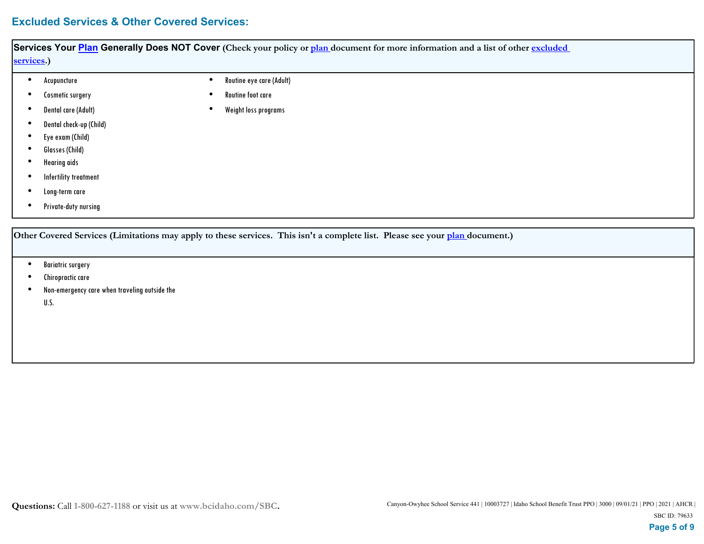# **Excluded Services & Other Covered Services:**

| Acupuncture                | Routine eye care (Adult) |
|----------------------------|--------------------------|
| Cosmetic surgery           | Routine foot care        |
| <b>Dental care (Adult)</b> | Weight loss programs     |
| Dental check-up (Child)    |                          |
| Eye exam (Child)           |                          |
| Glasses (Child)            |                          |
| <b>Hearing aids</b>        |                          |
| Infertility treatment      |                          |
| Long-term care             |                          |
| Private-duty nursing       |                          |

- Bariatric surgery
- Chiropractic care
- Non-emergency care when traveling outside the U.S. •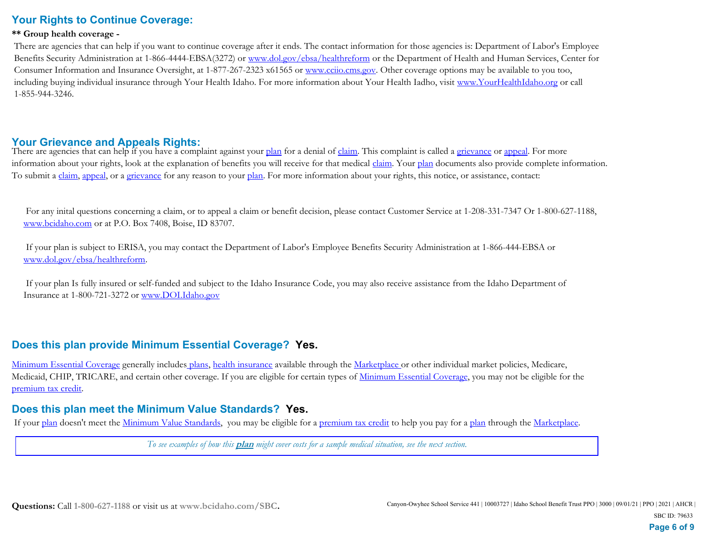# **Your Rights to Continue Coverage:**

#### **\*\* Group health coverage -**

 There are agencies that can help if you want to continue coverage after it ends. The contact information for those agencies is: Department of Labor's Employee Benefits Security Administration at 1-866-4444-EBSA(3272) or www.dol.gov/ebsa/healthreform or the Department of Health and Human Services, Center for Consumer Information and Insurance Oversight, at 1-877-267-2323 x61565 or www.cciio.cms.gov. Other coverage options may be available to you too, including buying individual insurance through Your Health Idaho. For more information about Your Health Iadho, visit www.YourHealthIdaho.org or call 1-855-944-3246.

### **Your Grievance and Appeals Rights:**

There are agencies that can help if you have a complaint against your plan for a denial of claim. This complaint is called a grievance or appeal. For more information about your rights, look at the explanation of benefits you will receive for that medical *claim*. Your plan documents also provide complete information. To submit a claim, appeal, or a grievance for any reason to your plan. For more information about your rights, this notice, or assistance, contact:

 For any inital questions concerning a claim, or to appeal a claim or benefit decision, please contact Customer Service at 1-208-331-7347 Or 1-800-627-1188, www.bcidaho.com or at P.O. Box 7408, Boise, ID 83707.

 If your plan is subject to ERISA, you may contact the Department of Labor's Employee Benefits Security Administration at 1-866-444-EBSA or www.dol.gov/ebsa/healthreform.

 If your plan Is fully insured or self-funded and subject to the Idaho Insurance Code, you may also receive assistance from the Idaho Department of Insurance at 1-800-721-3272 or www.DOI.Idaho.gov

## **Does this plan provide Minimum Essential Coverage? Yes.**

Minimum Essential Coverage generally includes plans, health insurance available through the Marketplace or other individual market policies, Medicare, Medicaid, CHIP, TRICARE, and certain other coverage. If you are eligible for certain types of Minimum Essential Coverage, you may not be eligible for the premium tax credit.

## **Does this plan meet the Minimum Value Standards? Yes.**

If your plan doesn't meet the Minimum Value Standards, you may be eligible for a premium tax credit to help you pay for a plan through the Marketplace.

*To see examples of how this* **plan** *might cover costs for a sample medical situation, see the next section.*

**Page 6 of 9**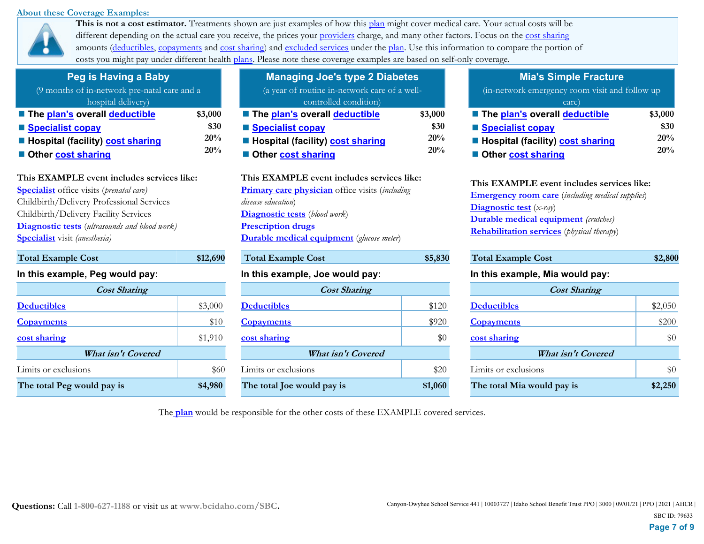#### **About these Coverage Examples:**



This is not a cost estimator. Treatments shown are just examples of how this plan might cover medical care. Your actual costs will be different depending on the actual care you receive, the prices your providers charge, and many other factors. Focus on the cost sharing amounts (deductibles, copayments and cost sharing) and excluded services under the plan. Use this information to compare the portion of costs you might pay under different health plans. Please note these coverage examples are based on self-only coverage.

| Peg is Having a Baby                         |         |
|----------------------------------------------|---------|
| (9 months of in-network pre-natal care and a |         |
| hospital delivery)                           |         |
| <b>The plan's overall deductible</b>         | \$3,000 |
| ■ Specialist copay                           | \$30    |
| <b>Hospital (facility) cost sharing</b>      | 20%     |
| Other cost sharing                           | 20%     |
|                                              |         |

### **This EXAMPLE event includes services like:**

**Specialist** office visits (*prenatal care)* Childbirth/Delivery Professional Services Childbirth/Delivery Facility Services **Diagnostic tests** (*ultrasounds and blood work)* **Specialist** visit *(anesthesia)* 

### **In this example, Peg would pay:**

| <b>Cost Sharing</b>        |         | <b>Cost Sharing</b>        |         |                    |
|----------------------------|---------|----------------------------|---------|--------------------|
| <b>Deductibles</b>         | \$3,000 | <b>Deductibles</b>         | \$120   | <b>Deductibles</b> |
| <b>Copayments</b>          | \$10    | <b>Copayments</b>          | \$920   | <b>Copayments</b>  |
| cost sharing               | \$1,910 | cost sharing               | \$0     | cost sharing       |
| What isn't Covered         |         | What isn't Covered         |         |                    |
| Limits or exclusions       | \$60    | Limits or exclusions       | \$20    | Limits or exc      |
| The total Peg would pay is | \$4,980 | The total Joe would pay is | \$1,060 | The total M        |

**Total Example Cost \$12,690** 

| <b>Managing Joe's type 2 Diabetes</b>                          |         |
|----------------------------------------------------------------|---------|
| (a year of routine in-network care of a well-                  |         |
| controlled condition)                                          |         |
| ■ The plan's overall deductible                                | \$3,000 |
| ■ Specialist copay                                             | \$30    |
| <b>E</b> Hospital (facility) cost sharing                      | 20%     |
| Other cost sharing                                             | 20%     |
| This EXAMPLE event includes services like:                     |         |
| <b>Primary care physician</b> office visits ( <i>including</i> |         |
| disease education)                                             |         |
| <b>Diagnostic tests</b> (blood work)                           |         |

**Prescription drugs Durable medical equipment** (*glucose meter*)

| <b>Total Example Cost</b>       | \$5,830 | <b>Total Exam</b>  |
|---------------------------------|---------|--------------------|
| In this example, Joe would pay: |         | In this exar       |
| <b>Cost Sharing</b>             |         |                    |
| <b>Deductibles</b>              | \$120   | <b>Deductibles</b> |
| <b>Copayments</b>               | \$920   | <b>Copayments</b>  |
| cost sharing                    | \$0     | cost sharing       |
| <b>What isn't Covered</b>       |         |                    |
| Limits or exclusions            | \$20    | Limits or exc      |
| The total Joe would pay is      | \$1,060 | The total M        |

### **Mia's Simple Fracture**

| (in-network emergency room visit and follow up |         |
|------------------------------------------------|---------|
| care)                                          |         |
| ■ The plan's overall deductible                | \$3,000 |
| ■ Specialist copay                             | \$30    |
| ■ Hospital (facility) cost sharing             | 20%     |
| Other cost sharing                             | 20%     |

| This EXAMPLE event includes services like:                 |
|------------------------------------------------------------|
| <b>Emergency room care</b> (including medical supplies)    |
| <b>Diagnostic test</b> (x-ray)                             |
| <b>Durable medical equipment</b> (crutches)                |
| <b>Rehabilitation services</b> ( <i>physical therapy</i> ) |
|                                                            |

| <b>Total Example Cost</b>       | \$5,830 | <b>Total Example Cost</b>       | \$2,800 |  |
|---------------------------------|---------|---------------------------------|---------|--|
| In this example, Joe would pay: |         | In this example, Mia would pay: |         |  |
| <b>Cost Sharing</b>             |         | <b>Cost Sharing</b>             |         |  |
| <b>Deductibles</b>              | \$120   | <b>Deductibles</b>              | \$2,050 |  |
| <b>Copayments</b>               | \$920   | <b>Copayments</b>               | \$200   |  |
| cost sharing                    | \$0     | cost sharing                    | \$0     |  |
| <b>What isn't Covered</b>       |         | <b>What isn't Covered</b>       |         |  |
| Limits or exclusions            | \$20    | Limits or exclusions            | \$0     |  |
| The total Joe would pay is      | \$1,060 | The total Mia would pay is      | \$2,250 |  |

The **plan** would be responsible for the other costs of these EXAMPLE covered services.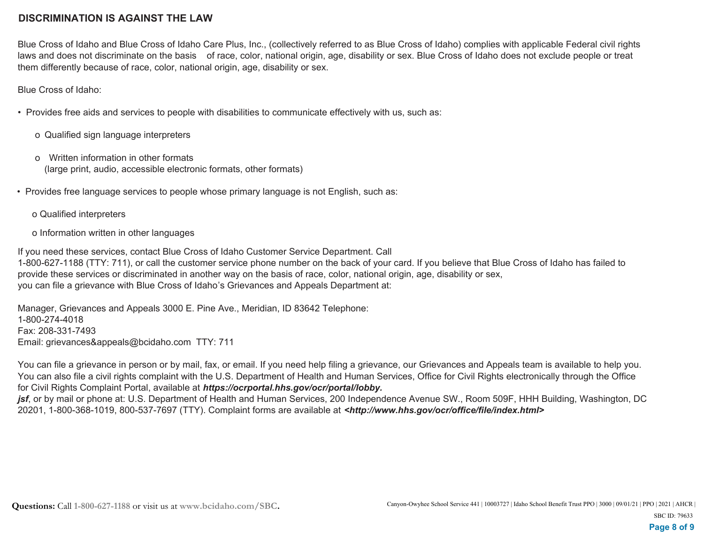## **DISCRIMINATION IS AGAINST THE LAW**

Blue Cross of Idaho and Blue Cross of Idaho Care Plus, Inc., (collectively referred to as Blue Cross of Idaho) complies with applicable Federal civil rights laws and does not discriminate on the basis of race, color, national origin, age, disability or sex. Blue Cross of Idaho does not exclude people or treat them differently because of race, color, national origin, age, disability or sex.

Blue Cross of Idaho:

• Provides free aids and services to people with disabilities to communicate effectively with us, such as:

- o Qualified sign language interpreters
- o Written information in other formats (large print, audio, accessible electronic formats, other formats)
- Provides free language services to people whose primary language is not English, such as:
	- o Qualified interpreters
	- o Information written in other languages

If you need these services, contact Blue Cross of Idaho Customer Service Department. Call 1-800-627-1188 (TTY: 711), or call the customer service phone number on the back of your card. If you believe that Blue Cross of Idaho has failed to provide these services or discriminated in another way on the basis of race, color, national origin, age, disability or sex, you can file a grievance with Blue Cross of Idaho's Grievances and Appeals Department at:

Manager, Grievances and Appeals 3000 E. Pine Ave., Meridian, ID 83642 Telephone: 1-800-274-4018 Fax: 208-331-7493 Email: grievances&appeals@bcidaho.com TTY: 711

You can file a grievance in person or by mail, fax, or email. If you need help filing a grievance, our Grievances and Appeals team is available to help you. You can also file a civil rights complaint with the U.S. Department of Health and Human Services, Office for Civil Rights electronically through the Office for Civil Rights Complaint Portal, available at *https://ocrportal.hhs.gov/ocr/portal/lobby.*

*jsf*, or by mail or phone at: U.S. Department of Health and Human Services, 200 Independence Avenue SW., Room 509F, HHH Building, Washington, DC 20201, 1-800-368-1019, 800-537-7697 (TTY). Complaint forms are available at *<http://www.hhs.gov/ocr/office/file/index.html>*